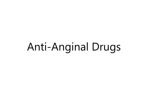## Anti-Anginal Drugs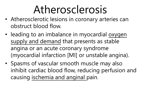## Atherosclerosis

- Atherosclerotic lesions in coronary arteries can obstruct blood flow.
- leading to an imbalance in myocardial oxygen supply and demand that presents as stable angina or an acute coronary syndrome (myocardial infarction [MI] or unstable angina).
- Spasms of vascular smooth muscle may also inhibit cardiac blood flow, reducing perfusion and causing ischemia and anginal pain.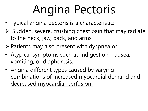# Angina Pectoris

- Typical angina pectoris is a characteristic:
- $\triangleright$  Sudden, severe, crushing chest pain that may radiate to the neck, jaw, back, and arms.
- $\triangleright$  Patients may also present with dyspnea or
- Atypical symptoms such as indigestion, nausea, vomiting, or diaphoresis.
- Angina different types caused by varying combinations of increased myocardial demand and decreased myocardial perfusion.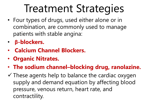## Treatment Strategies

- Four types of drugs, used either alone or in combination, are commonly used to manage patients with stable angina:
- **β-blockers.**
- **Calcium Channel Blockers.**
- **Organic Nitrates.**
- **The sodium channel–blocking drug, ranolazine.**
- $\checkmark$  These agents help to balance the cardiac oxygen supply and demand equation by affecting blood pressure, venous return, heart rate, and contractility.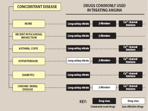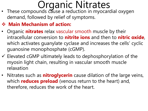### Organic Nitrates

• These compounds cause a reduction in myocardial oxygen demand, followed by relief of symptoms.

#### **Main Mechanism of action:**

- Organic **nitrates** relax vascular smooth muscle by their intracellular conversion to **nitrite ions** and then to **nitric oxide**, which activates guanylate cyclase and increases the cells' cyclic guanosine monophosphate (cGMP).
- $\checkmark$  Elevated cGMP ultimately leads to dephosphorylation of the myosin light chain, resulting in vascular smooth muscle relaxation
- Nitrates such as **nitroglycerin** cause dilation of the large veins, which **reduces preload** (venous return to the heart) and, therefore, reduces the work of the heart.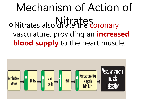## Mechanism of Action of \*Nitrates also dilates aroundry vasculature, providing an **increased blood supply** to the heart muscle.

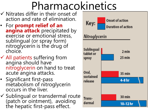## Pharmacokinetics

- $\checkmark$  Nitrates differ in their onset of action and rate of elimination.
- For **prompt relief of an angina attack** precipitated by exercise or emotional stress, sublingual (or spray form) nitroglycerin is the drug of choice.
- All patients suffering from angina should have nitroglycerin on hand to treat acute angina attacks.
- Significant first-pass metabolism of nitroglycerin occurs in the liver.
- $\checkmark$  Sublingual or transdermal route (patch or ointment), avoiding the hepatic first-pass effect.

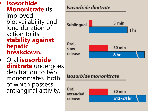#### **Isosorbide Mononitrate** its improved bioavailability and long duration of action to its **stability against hepatic breakdown.**

 Oral **isosorbide dinitrate** undergoes denitration to two mononitrates, both of which possess antianginal activity.

#### Isosorbide dinitrate



#### Isosorbide mononitrate

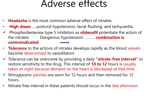### Adverse effects

- **Headache** is the most common adverse effect of nitrates.
- **High doses** …..postural hypotension, facial flushing, and tachycardia.
- Phosphodiesterase type 5 inhibitors as **sildenafil** potentiate the action of the nitrates Dangerous hypotension ………. **combination is contraindicated**.
- **Tolerance** to the actions of nitrates develops rapidly as the blood vessels become desensitized to vasodilation.
- Tolerance can be overcome by providing a daily **"nitrate-free interval"** to restore sensitivity to the drug. This interval of **10 to 12** hours is usually taken at night because demand on the heart is decreased at that time.
- $\checkmark$  Nitroglycerin patches are worn for 12 hours and then removed for 12 hours.
- Nitrate-free interval in these patients should occur in the late afternoon.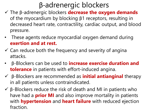### β-adrenergic blockers

- The β-adrenergic blockers **decrease the oxygen demands**  of the myocardium by blocking β1 receptors, resulting in decreased heart rate, contractility, cardiac output, and blood pressure.
- These agents reduce myocardial oxygen demand during **exertion and at rest.**
- $\checkmark$  Can reduce both the frequency and severity of angina attacks.
- β-Blockers can be used to **increase exercise duration and tolerance** in patients with effort-induced angina.
- β-Blockers are recommended as **initial antianginal** therapy in all patients unless contraindicated.
- $\checkmark$  β-Blockers reduce the risk of death and MI in patients who have had a **prior MI** and also improve mortality in patients with **hypertension** and **heart failure** with reduced ejection fraction.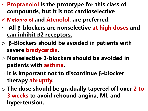- **Propranolol is the prototype for this class of compounds, but it is not cardioselective**
- **Metoprolol and Atenolol, are preferred.**
- **All β-blockers are nonselective at high doses and can inhibit β2 receptors.**
- o **β-Blockers should be avoided in patients with severe bradycardia.**
- o **Nonselective β-blockers should be avoided in patients with asthma.**
- o **It is important not to discontinue β-blocker therapy abruptly.**
- o **The dose should be gradually tapered off over 2 to 3 weeks to avoid rebound angina, MI, and hypertension.**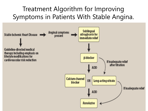### Treatment Algorithm for Improving Symptoms in Patients With Stable Angina.

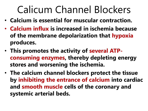## Calicum Channel Blockers

- **Calcium is essential for muscular contraction.**
- **Calcium influx is increased in ischemia because of the membrane depolarization that hypoxia produces.**
- **This promotes the activity of several ATPconsuming enzymes, thereby depleting energy stores and worsening the ischemia.**
- **The calcium channel blockers protect the tissue by inhibiting the entrance of calcium into cardiac and smooth muscle cells of the coronary and systemic arterial beds.**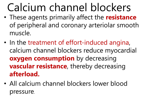## Calcium channel blockers

- These agents primarily affect the **resistance** of peripheral and coronary arteriolar smooth muscle.
- In the treatment of effort-induced angina, calcium channel blockers reduce myocardial **oxygen consumption** by decreasing **vascular resistance**, thereby decreasing **afterload.**
- All calcium channel blockers lower blood pressure.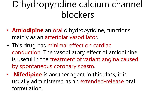### Dihydropyridine calcium channel blockers

- **Amlodipine** an oral dihydropyridine, functions mainly as an arteriolar vasodilator.
- $\checkmark$  This drug has minimal effect on cardiac conduction. The vasodilatory effect of amlodipine is useful in the treatment of variant angina caused by spontaneous coronary spasm.
- **Nifedipine** is another agent in this class; it is usually administered as an extended-release oral formulation.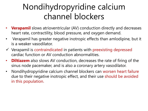### Nondihydropyridine calcium channel blockers

- **Verapamil** slows atrioventricular (AV) conduction directly and decreases heart rate, contractility, blood pressure, and oxygen demand.
- Verapamil has greater negative inotropic effects than amlodipine, but it is a weaker vasodilator.
- $\checkmark$  Verapamil is contraindicated in patients with preexisting depressed cardiac function or AV conduction abnormalities.
- **Diltiazem** also slows AV conduction, decreases the rate of firing of the sinus node pacemaker, and is also a coronary artery vasodilator.
- Nondihydropyridine calcium channel blockers can worsen heart failure due to their negative inotropic effect, and their use should be avoided in this population.